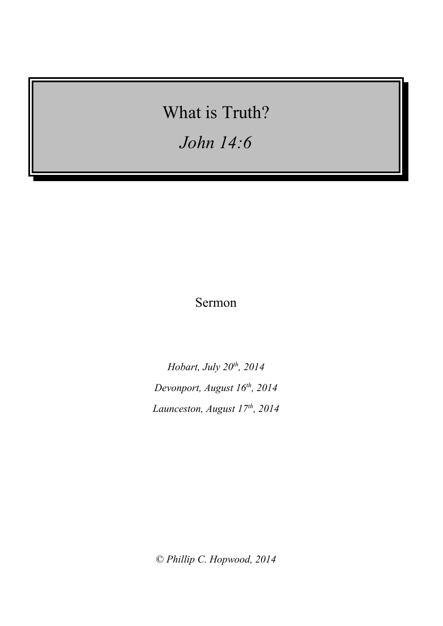# What is Truth?

*John 14:6*

# Sermon

*Hobart, July 20th , 2014 Devonport, August 16 th , 2014 Launceston, August 17th, 2014*

© *Phillip C. Hopwood, 2014*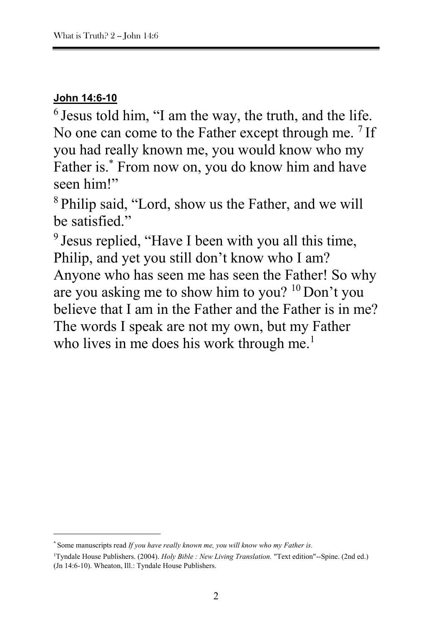### **John 14:6-10**

 $\overline{a}$ 

<sup>6</sup> Jesus told him, "I am the way, the truth, and the life. No one can come to the Father except through me.<sup>7</sup> If you had really known me, you would know who my Father is.\* From now on, you do know him and have seen him!"

<sup>8</sup> Philip said, "Lord, show us the Father, and we will be satisfied."

<sup>9</sup> Jesus replied, "Have I been with you all this time, Philip, and yet you still don't know who I am? Anyone who has seen me has seen the Father! So why are you asking me to show him to you?  $10$  Don't you believe that I am in the Father and the Father is in me? The words I speak are not my own, but my Father who lives in me does his work through me.<sup>1</sup>

<sup>\*</sup> Some manuscripts read *If you have really known me, you will know who my Father is.*

<sup>1</sup>Tyndale House Publishers. (2004). *Holy Bible : New Living Translation.* "Text edition"--Spine. (2nd ed.) (Jn 14:6-10). Wheaton, Ill.: Tyndale House Publishers.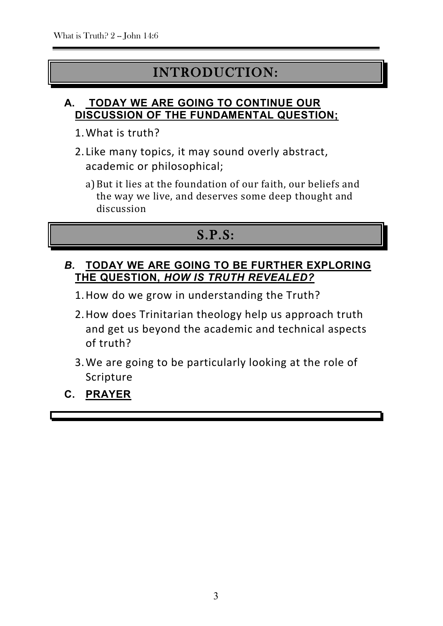# INTRODUCTION:

#### **A. TODAY WE ARE GOING TO CONTINUE OUR DISCUSSION OF THE FUNDAMENTAL QUESTION;**

- 1.What is truth?
- 2. Like many topics, it may sound overly abstract, academic or philosophical;
	- a)But it lies at the foundation of our faith, our beliefs and the way we live, and deserves some deep thought and discussion

# S.P.S:

#### *B.* **TODAY WE ARE GOING TO BE FURTHER EXPLORING THE QUESTION,** *HOW IS TRUTH REVEALED?*

- 1.How do we grow in understanding the Truth?
- 2.How does Trinitarian theology help us approach truth and get us beyond the academic and technical aspects of truth?
- 3.We are going to be particularly looking at the role of Scripture
- **C. PRAYER**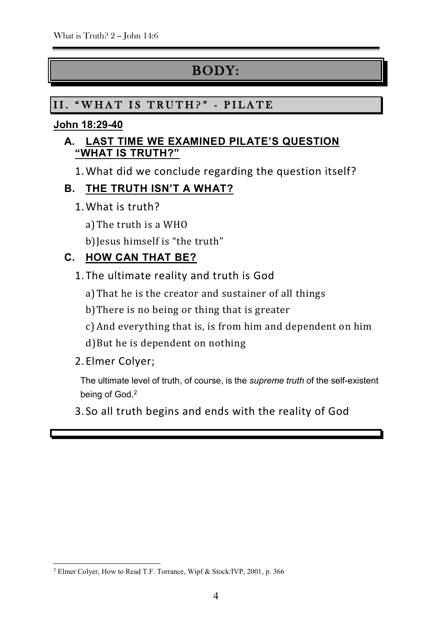# BODY:

# II. "WHAT IS TRUTH?" - PILATE

#### **John 18:29-40**

#### **A. LAST TIME WE EXAMINED PILATE'S QUESTION "WHAT IS TRUTH?"**

1.What did we conclude regarding the question itself?

# **B. THE TRUTH ISN'T A WHAT?**

1.What is truth?

a)The truth is a WHO

b)Jesus himself is "the truth"

# **C. HOW CAN THAT BE?**

1.The ultimate reality and truth is God

a)That he is the creator and sustainer of all things

b)There is no being or thing that is greater

c) And everything that is, is from him and dependent on him

d)But he is dependent on nothing

# 2.Elmer Colyer;

The ultimate level of truth, of course, is the *supreme truth* of the self-existent being of God.<sup>2</sup>

3. So all truth begins and ends with the reality of God

<sup>-</sup><sup>2</sup> Elmer Colyer, How to Read T.F. Torrance, Wipf & Stock/IVP, 2001, p. 366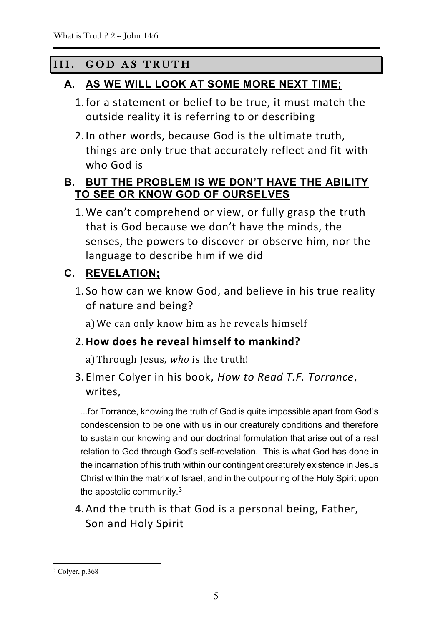# III. GOD AS TRUTH

#### **A. AS WE WILL LOOK AT SOME MORE NEXT TIME;**

- 1.for a statement or belief to be true, it must match the outside reality it is referring to or describing
- 2.In other words, because God is the ultimate truth, things are only true that accurately reflect and fit with who God is

#### **B. BUT THE PROBLEM IS WE DON'T HAVE THE ABILITY TO SEE OR KNOW GOD OF OURSELVES**

1.We can't comprehend or view, or fully grasp the truth that is God because we don't have the minds, the senses, the powers to discover or observe him, nor the language to describe him if we did

# **C. REVELATION;**

1. So how can we know God, and believe in his true reality of nature and being?

a)We can only know him as he reveals himself

#### 2.**How does he reveal himself to mankind?**

a)Through Jesus, *who* is the truth!

3.Elmer Colyer in his book, *How to Read T.F. Torrance*, writes,

...for Torrance, knowing the truth of God is quite impossible apart from God's condescension to be one with us in our creaturely conditions and therefore to sustain our knowing and our doctrinal formulation that arise out of a real relation to God through God's self-revelation. This is what God has done in the incarnation of his truth within our contingent creaturely existence in Jesus Christ within the matrix of Israel, and in the outpouring of the Holy Spirit upon the apostolic community.<sup>3</sup>

4.And the truth is that God is a personal being, Father, Son and Holy Spirit

 $3^3$  Colyer, p.368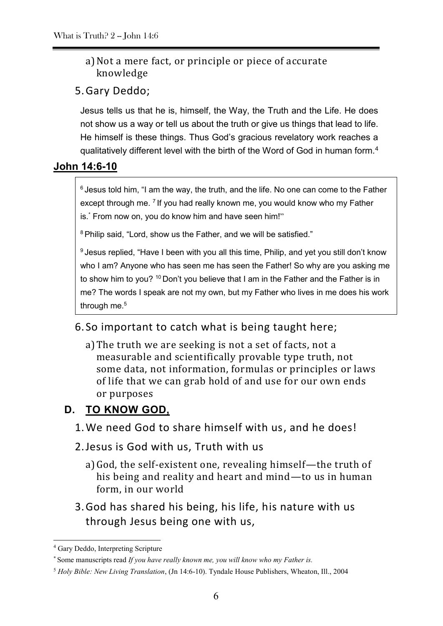#### a)Not a mere fact, or principle or piece of accurate knowledge

#### 5.Gary Deddo;

Jesus tells us that he is, himself, the Way, the Truth and the Life. He does not show us a way or tell us about the truth or give us things that lead to life. He himself is these things. Thus God's gracious revelatory work reaches a qualitatively different level with the birth of the Word of God in human form.<sup>4</sup>

#### **John 14:6-10**

<sup>6</sup> Jesus told him, "I am the way, the truth, and the life. No one can come to the Father except through me.<sup>7</sup> If you had really known me, you would know who my Father is.<sup>\*</sup> From now on, you do know him and have seen him!"

<sup>8</sup> Philip said, "Lord, show us the Father, and we will be satisfied."

9 Jesus replied, "Have I been with you all this time, Philip, and yet you still don't know who I am? Anyone who has seen me has seen the Father! So why are you asking me to show him to you? <sup>10</sup> Don't you believe that I am in the Father and the Father is in me? The words I speak are not my own, but my Father who lives in me does his work through me.<sup>5</sup>

#### 6. So important to catch what is being taught here;

a)The truth we are seeking is not a set of facts, not a measurable and scientifically provable type truth, not some data, not information, formulas or principles or laws of life that we can grab hold of and use for our own ends or purposes

# **D. TO KNOW GOD,**

- 1.We need God to share himself with us, and he does!
- 2.Jesus is God with us, Truth with us
	- a)God, the self-existent one, revealing himself—the truth of his being and reality and heart and mind—to us in human form, in our world
- 3.God has shared his being, his life, his nature with us through Jesus being one with us,

<sup>-</sup><sup>4</sup> Gary Deddo, Interpreting Scripture

<sup>\*</sup> Some manuscripts read *If you have really known me, you will know who my Father is.*

<sup>5</sup> *Holy Bible: New Living Translation*, (Jn 14:6-10). Tyndale House Publishers, Wheaton, Ill., 2004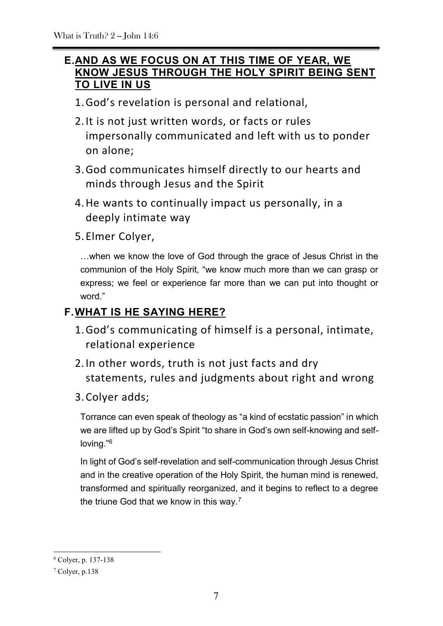#### **E.AND AS WE FOCUS ON AT THIS TIME OF YEAR, WE KNOW JESUS THROUGH THE HOLY SPIRIT BEING SENT TO LIVE IN US**

- 1.God's revelation is personal and relational,
- 2.It is not just written words, or facts or rules impersonally communicated and left with us to ponder on alone;
- 3.God communicates himself directly to our hearts and minds through Jesus and the Spirit
- 4.He wants to continually impact us personally, in a deeply intimate way
- 5.Elmer Colyer,

…when we know the love of God through the grace of Jesus Christ in the communion of the Holy Spirit, "we know much more than we can grasp or express; we feel or experience far more than we can put into thought or word."

# **F.WHAT IS HE SAYING HERE?**

- 1.God's communicating of himself is a personal, intimate, relational experience
- 2.In other words, truth is not just facts and dry statements, rules and judgments about right and wrong
- 3.Colyer adds;

Torrance can even speak of theology as "a kind of ecstatic passion" in which we are lifted up by God's Spirit "to share in God's own self-knowing and selfloving."<sup>6</sup>

In light of God's self-revelation and self-communication through Jesus Christ and in the creative operation of the Holy Spirit, the human mind is renewed, transformed and spiritually reorganized, and it begins to reflect to a degree the triune God that we know in this way.<sup>7</sup>

<sup>1</sup> <sup>6</sup> Colyer, p. 137-138

<sup>7</sup> Colyer, p.138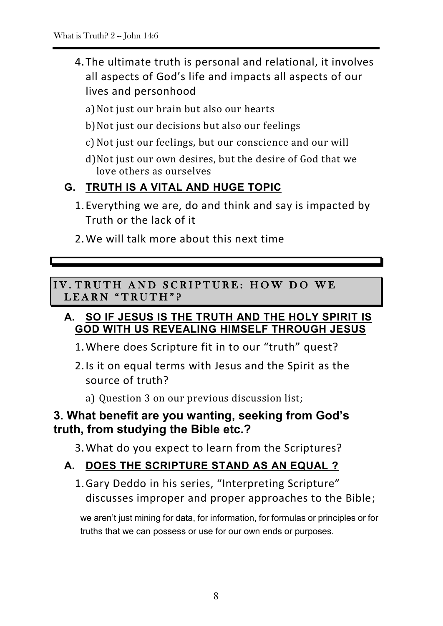- 4.The ultimate truth is personal and relational, it involves all aspects of God's life and impacts all aspects of our lives and personhood
	- a) Not just our brain but also our hearts
	- b)Not just our decisions but also our feelings
	- c) Not just our feelings, but our conscience and our will
	- d)Not just our own desires, but the desire of God that we love others as ourselves

# **G. TRUTH IS A VITAL AND HUGE TOPIC**

- 1.Everything we are, do and think and say is impacted by Truth or the lack of it
- 2.We will talk more about this next time

IV. TRUTH AND SCRIPTURE: HOW DO WE LEARN "TRUTH"?

#### **A. SO IF JESUS IS THE TRUTH AND THE HOLY SPIRIT IS GOD WITH US REVEALING HIMSELF THROUGH JESUS**

- 1.Where does Scripture fit in to our "truth" quest?
- 2.Is it on equal terms with Jesus and the Spirit as the source of truth?
	- a) Question 3 on our previous discussion list;

# **3. What benefit are you wanting, seeking from God's truth, from studying the Bible etc.?**

3.What do you expect to learn from the Scriptures?

# **A. DOES THE SCRIPTURE STAND AS AN EQUAL ?**

1.Gary Deddo in his series, "Interpreting Scripture" discusses improper and proper approaches to the Bible;

we aren't just mining for data, for information, for formulas or principles or for truths that we can possess or use for our own ends or purposes.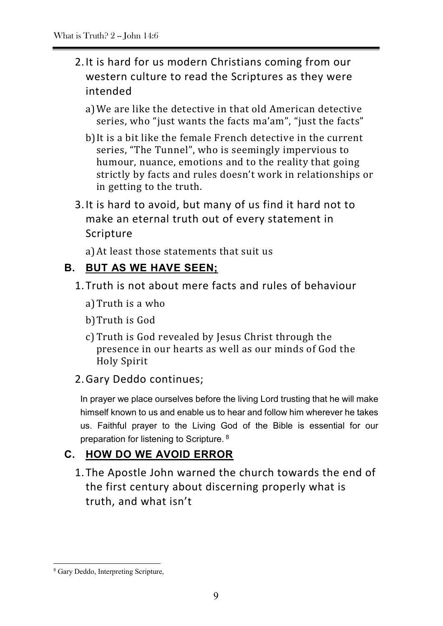- 2.It is hard for us modern Christians coming from our western culture to read the Scriptures as they were intended
	- a)We are like the detective in that old American detective series, who "just wants the facts ma'am", "just the facts"
	- b)It is a bit like the female French detective in the current series, "The Tunnel", who is seemingly impervious to humour, nuance, emotions and to the reality that going strictly by facts and rules doesn't work in relationships or in getting to the truth.
- 3.It is hard to avoid, but many of us find it hard not to make an eternal truth out of every statement in Scripture

a)At least those statements that suit us

### **B. BUT AS WE HAVE SEEN;**

- 1.Truth is not about mere facts and rules of behaviour
	- a)Truth is a who
	- b)Truth is God
	- c) Truth is God revealed by Jesus Christ through the presence in our hearts as well as our minds of God the Holy Spirit

#### 2.Gary Deddo continues;

In prayer we place ourselves before the living Lord trusting that he will make himself known to us and enable us to hear and follow him wherever he takes us. Faithful prayer to the Living God of the Bible is essential for our preparation for listening to Scripture. <sup>8</sup>

# **C. HOW DO WE AVOID ERROR**

1.The Apostle John warned the church towards the end of the first century about discerning properly what is truth, and what isn't

<sup>8</sup> Gary Deddo, Interpreting Scripture,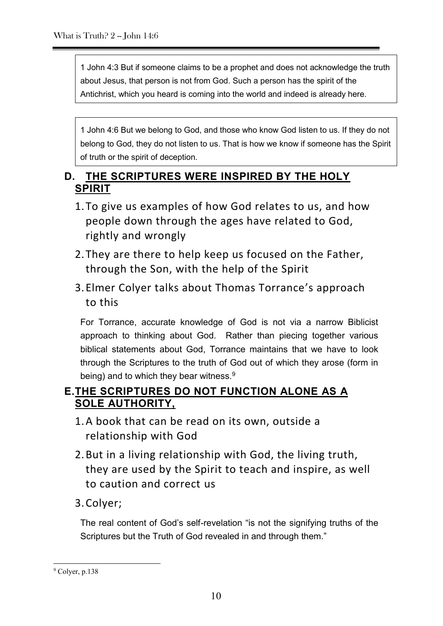1 John 4:3 But if someone claims to be a prophet and does not acknowledge the truth about Jesus, that person is not from God. Such a person has the spirit of the Antichrist, which you heard is coming into the world and indeed is already here.

1 John 4:6 But we belong to God, and those who know God listen to us. If they do not belong to God, they do not listen to us. That is how we know if someone has the Spirit of truth or the spirit of deception.

### **D. THE SCRIPTURES WERE INSPIRED BY THE HOLY SPIRIT**

- 1.To give us examples of how God relates to us, and how people down through the ages have related to God, rightly and wrongly
- 2.They are there to help keep us focused on the Father, through the Son, with the help of the Spirit
- 3.Elmer Colyer talks about Thomas Torrance's approach to this

For Torrance, accurate knowledge of God is not via a narrow Biblicist approach to thinking about God. Rather than piecing together various biblical statements about God, Torrance maintains that we have to look through the Scriptures to the truth of God out of which they arose (form in being) and to which they bear witness.<sup>9</sup>

### **E.THE SCRIPTURES DO NOT FUNCTION ALONE AS A SOLE AUTHORITY,**

- 1.A book that can be read on its own, outside a relationship with God
- 2.But in a living relationship with God, the living truth, they are used by the Spirit to teach and inspire, as well to caution and correct us
- 3.Colyer;

The real content of God's self-revelation "is not the signifying truths of the Scriptures but the Truth of God revealed in and through them."

<sup>9</sup> Colyer, p.138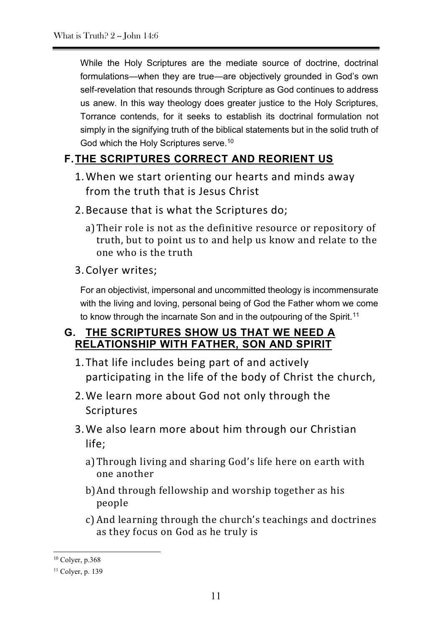While the Holy Scriptures are the mediate source of doctrine, doctrinal formulations—when they are true—are objectively grounded in God's own self-revelation that resounds through Scripture as God continues to address us anew. In this way theology does greater justice to the Holy Scriptures, Torrance contends, for it seeks to establish its doctrinal formulation not simply in the signifying truth of the biblical statements but in the solid truth of God which the Holy Scriptures serve.<sup>10</sup>

# **F.THE SCRIPTURES CORRECT AND REORIENT US**

- 1.When we start orienting our hearts and minds away from the truth that is Jesus Christ
- 2.Because that is what the Scriptures do;
	- a)Their role is not as the definitive resource or repository of truth, but to point us to and help us know and relate to the one who is the truth
- 3.Colyer writes;

For an objectivist, impersonal and uncommitted theology is incommensurate with the living and loving, personal being of God the Father whom we come to know through the incarnate Son and in the outpouring of the Spirit.<sup>11</sup>

### **G. THE SCRIPTURES SHOW US THAT WE NEED A RELATIONSHIP WITH FATHER, SON AND SPIRIT**

- 1.That life includes being part of and actively participating in the life of the body of Christ the church,
- 2.We learn more about God not only through the Scriptures
- 3.We also learn more about him through our Christian life;
	- a)Through living and sharing God's life here on earth with one another
	- b)And through fellowship and worship together as his people
	- c) And learning through the church's teachings and doctrines as they focus on God as he truly is

1

<sup>10</sup> Colyer, p.368

<sup>&</sup>lt;sup>11</sup> Colyer, p. 139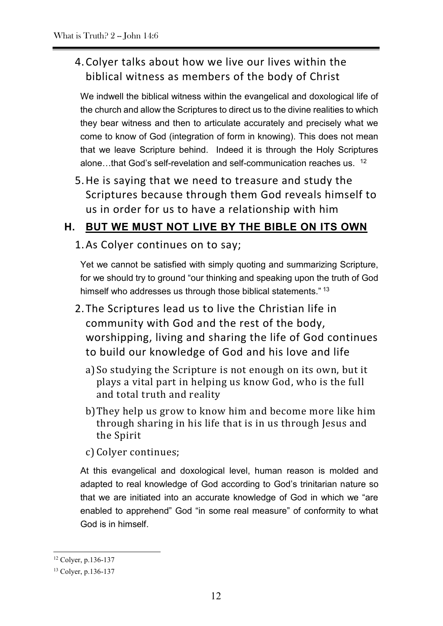# 4.Colyer talks about how we live our lives within the biblical witness as members of the body of Christ

We indwell the biblical witness within the evangelical and doxological life of the church and allow the Scriptures to direct us to the divine realities to which they bear witness and then to articulate accurately and precisely what we come to know of God (integration of form in knowing). This does not mean that we leave Scripture behind. Indeed it is through the Holy Scriptures alone…that God's self-revelation and self-communication reaches us. <sup>12</sup>

5.He is saying that we need to treasure and study the Scriptures because through them God reveals himself to us in order for us to have a relationship with him

# **H. BUT WE MUST NOT LIVE BY THE BIBLE ON ITS OWN**

1.As Colyer continues on to say;

Yet we cannot be satisfied with simply quoting and summarizing Scripture, for we should try to ground "our thinking and speaking upon the truth of God himself who addresses us through those biblical statements."<sup>13</sup>

- 2.The Scriptures lead us to live the Christian life in community with God and the rest of the body, worshipping, living and sharing the life of God continues to build our knowledge of God and his love and life
	- a)So studying the Scripture is not enough on its own, but it plays a vital part in helping us know God, who is the full and total truth and reality
	- b)They help us grow to know him and become more like him through sharing in his life that is in us through Jesus and the Spirit
	- c) Colyer continues;

At this evangelical and doxological level, human reason is molded and adapted to real knowledge of God according to God's trinitarian nature so that we are initiated into an accurate knowledge of God in which we "are enabled to apprehend" God "in some real measure" of conformity to what God is in himself.

1

<sup>12</sup> Colyer, p.136-137

<sup>13</sup> Colyer, p.136-137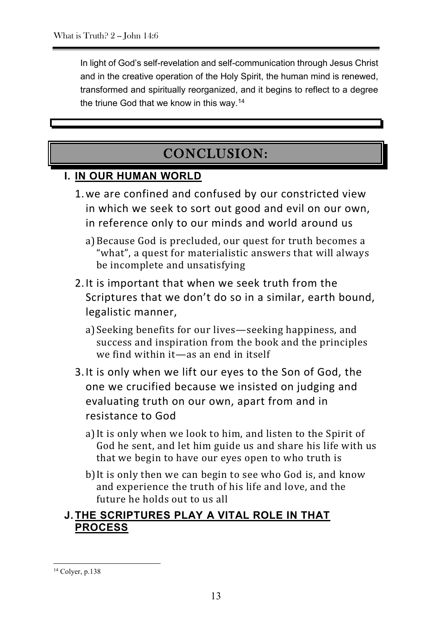In light of God's self-revelation and self-communication through Jesus Christ and in the creative operation of the Holy Spirit, the human mind is renewed, transformed and spiritually reorganized, and it begins to reflect to a degree the triune God that we know in this way.<sup>14</sup>

# CONCLUSION:

# **I. IN OUR HUMAN WORLD**

- 1.we are confined and confused by our constricted view in which we seek to sort out good and evil on our own, in reference only to our minds and world around us
	- a)Because God is precluded, our quest for truth becomes a "what", a quest for materialistic answers that will always be incomplete and unsatisfying
- 2.It is important that when we seek truth from the Scriptures that we don't do so in a similar, earth bound, legalistic manner,
	- a)Seeking benefits for our lives—seeking happiness, and success and inspiration from the book and the principles we find within it—as an end in itself
- 3.It is only when we lift our eyes to the Son of God, the one we crucified because we insisted on judging and evaluating truth on our own, apart from and in resistance to God
	- a)It is only when we look to him, and listen to the Spirit of God he sent, and let him guide us and share his life with us that we begin to have our eyes open to who truth is
	- b)It is only then we can begin to see who God is, and know and experience the truth of his life and love, and the future he holds out to us all

### **J. THE SCRIPTURES PLAY A VITAL ROLE IN THAT PROCESS**

<sup>14</sup> Colyer, p.138